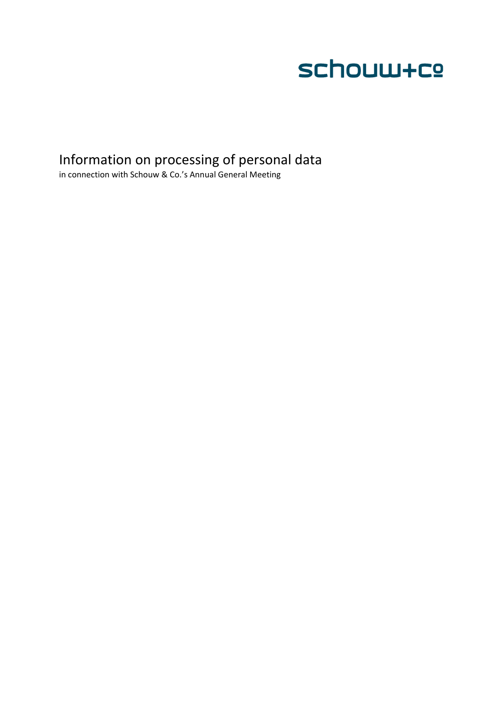

# Information on processing of personal data

in connection with Schouw & Co.'s Annual General Meeting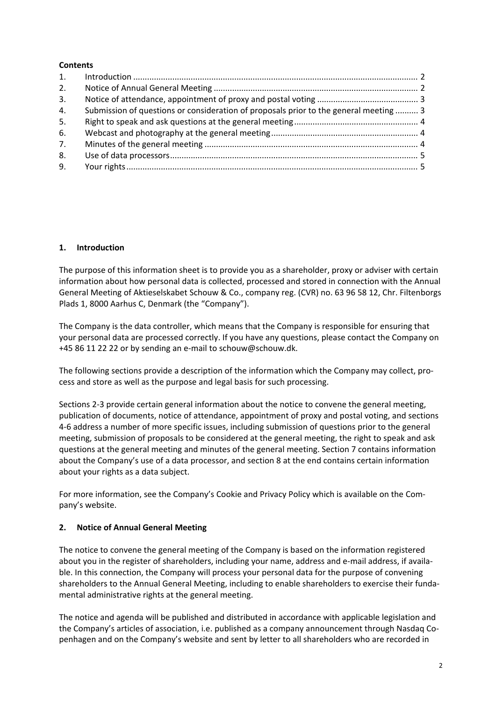#### **Contents**

| 2. |                                                                                       |  |
|----|---------------------------------------------------------------------------------------|--|
| 3. |                                                                                       |  |
| 4. | Submission of questions or consideration of proposals prior to the general meeting  3 |  |
| 5. |                                                                                       |  |
| 6. |                                                                                       |  |
| 7. |                                                                                       |  |
| 8. |                                                                                       |  |
| 9. |                                                                                       |  |

#### **1. Introduction**

The purpose of this information sheet is to provide you as a shareholder, proxy or adviser with certain information about how personal data is collected, processed and stored in connection with the Annual General Meeting of Aktieselskabet Schouw & Co., company reg. (CVR) no. 63 96 58 12, Chr. Filtenborgs Plads 1, 8000 Aarhus C, Denmark (the "Company").

The Company is the data controller, which means that the Company is responsible for ensuring that your personal data are processed correctly. If you have any questions, please contact the Company on +45 86 11 22 22 or by sending an e‐mail to schouw@schouw.dk.

The following sections provide a description of the information which the Company may collect, process and store as well as the purpose and legal basis for such processing.

Sections 2‐3 provide certain general information about the notice to convene the general meeting, publication of documents, notice of attendance, appointment of proxy and postal voting, and sections 4‐6 address a number of more specific issues, including submission of questions prior to the general meeting, submission of proposals to be considered at the general meeting, the right to speak and ask questions at the general meeting and minutes of the general meeting. Section 7 contains information about the Company's use of a data processor, and section 8 at the end contains certain information about your rights as a data subject.

For more information, see the Company's Cookie and Privacy Policy which is available on the Com‐ pany's website.

## **2. Notice of Annual General Meeting**

The notice to convene the general meeting of the Company is based on the information registered about you in the register of shareholders, including your name, address and e-mail address, if available. In this connection, the Company will process your personal data for the purpose of convening shareholders to the Annual General Meeting, including to enable shareholders to exercise their funda‐ mental administrative rights at the general meeting.

The notice and agenda will be published and distributed in accordance with applicable legislation and the Company's articles of association, i.e. published as a company announcement through Nasdaq Co‐ penhagen and on the Company's website and sent by letter to all shareholders who are recorded in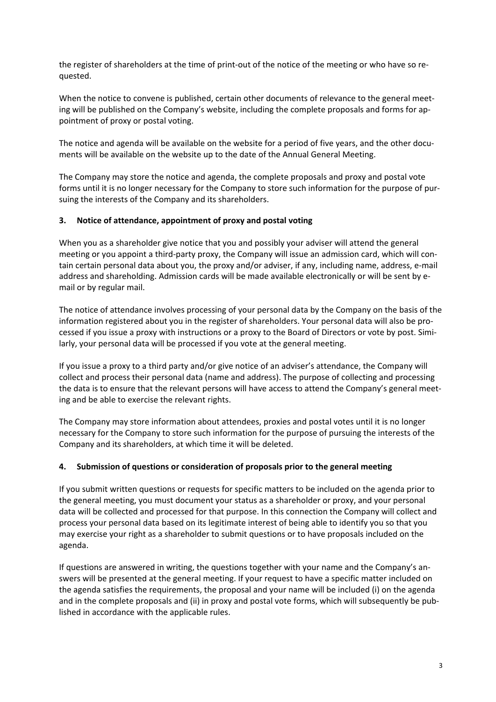the register of shareholders at the time of print‐out of the notice of the meeting or who have so re‐ quested.

When the notice to convene is published, certain other documents of relevance to the general meeting will be published on the Company's website, including the complete proposals and forms for ap‐ pointment of proxy or postal voting.

The notice and agenda will be available on the website for a period of five years, and the other documents will be available on the website up to the date of the Annual General Meeting.

The Company may store the notice and agenda, the complete proposals and proxy and postal vote forms until it is no longer necessary for the Company to store such information for the purpose of pur‐ suing the interests of the Company and its shareholders.

#### **3. Notice of attendance, appointment of proxy and postal voting**

When you as a shareholder give notice that you and possibly your adviser will attend the general meeting or you appoint a third-party proxy, the Company will issue an admission card, which will contain certain personal data about you, the proxy and/or adviser, if any, including name, address, e‐mail address and shareholding. Admission cards will be made available electronically or will be sent by e‐ mail or by regular mail.

The notice of attendance involves processing of your personal data by the Company on the basis of the information registered about you in the register of shareholders. Your personal data will also be pro‐ cessed if you issue a proxy with instructions or a proxy to the Board of Directors or vote by post. Simi‐ larly, your personal data will be processed if you vote at the general meeting.

If you issue a proxy to a third party and/or give notice of an adviser's attendance, the Company will collect and process their personal data (name and address). The purpose of collecting and processing the data is to ensure that the relevant persons will have access to attend the Company's general meeting and be able to exercise the relevant rights.

The Company may store information about attendees, proxies and postal votes until it is no longer necessary for the Company to store such information for the purpose of pursuing the interests of the Company and its shareholders, at which time it will be deleted.

## **4. Submission of questions or consideration of proposals prior to the general meeting**

If you submit written questions or requests for specific matters to be included on the agenda prior to the general meeting, you must document your status as a shareholder or proxy, and your personal data will be collected and processed for that purpose. In this connection the Company will collect and process your personal data based on its legitimate interest of being able to identify you so that you may exercise your right as a shareholder to submit questions or to have proposals included on the agenda.

If questions are answered in writing, the questions together with your name and the Company's an‐ swers will be presented at the general meeting. If your request to have a specific matter included on the agenda satisfies the requirements, the proposal and your name will be included (i) on the agenda and in the complete proposals and (ii) in proxy and postal vote forms, which will subsequently be pub‐ lished in accordance with the applicable rules.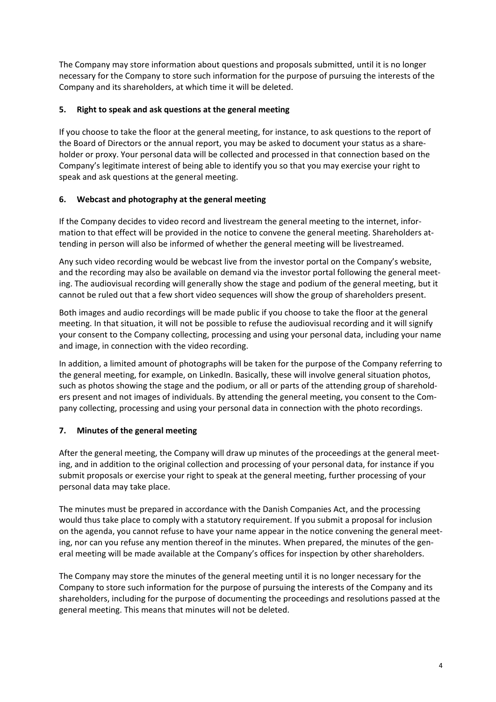The Company may store information about questions and proposals submitted, until it is no longer necessary for the Company to store such information for the purpose of pursuing the interests of the Company and its shareholders, at which time it will be deleted.

## **5. Right to speak and ask questions at the general meeting**

If you choose to take the floor at the general meeting, for instance, to ask questions to the report of the Board of Directors or the annual report, you may be asked to document your status as a share‐ holder or proxy. Your personal data will be collected and processed in that connection based on the Company's legitimate interest of being able to identify you so that you may exercise your right to speak and ask questions at the general meeting.

# **6. Webcast and photography at the general meeting**

If the Company decides to video record and livestream the general meeting to the internet, infor‐ mation to that effect will be provided in the notice to convene the general meeting. Shareholders attending in person will also be informed of whether the general meeting will be livestreamed.

Any such video recording would be webcast live from the investor portal on the Company's website, and the recording may also be available on demand via the investor portal following the general meeting. The audiovisual recording will generally show the stage and podium of the general meeting, but it cannot be ruled out that a few short video sequences will show the group of shareholders present.

Both images and audio recordings will be made public if you choose to take the floor at the general meeting. In that situation, it will not be possible to refuse the audiovisual recording and it will signify your consent to the Company collecting, processing and using your personal data, including your name and image, in connection with the video recording.

In addition, a limited amount of photographs will be taken for the purpose of the Company referring to the general meeting, for example, on LinkedIn. Basically, these will involve general situation photos, such as photos showing the stage and the podium, or all or parts of the attending group of shareholders present and not images of individuals. By attending the general meeting, you consent to the Company collecting, processing and using your personal data in connection with the photo recordings.

# **7. Minutes of the general meeting**

After the general meeting, the Company will draw up minutes of the proceedings at the general meet‐ ing, and in addition to the original collection and processing of your personal data, for instance if you submit proposals or exercise your right to speak at the general meeting, further processing of your personal data may take place.

The minutes must be prepared in accordance with the Danish Companies Act, and the processing would thus take place to comply with a statutory requirement. If you submit a proposal for inclusion on the agenda, you cannot refuse to have your name appear in the notice convening the general meet‐ ing, nor can you refuse any mention thereof in the minutes. When prepared, the minutes of the general meeting will be made available at the Company's offices for inspection by other shareholders.

The Company may store the minutes of the general meeting until it is no longer necessary for the Company to store such information for the purpose of pursuing the interests of the Company and its shareholders, including for the purpose of documenting the proceedings and resolutions passed at the general meeting. This means that minutes will not be deleted.